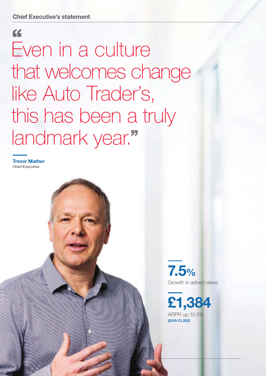# " Even in a culture that welcomes change like Auto Trader's, this has been a truly landmark year."

Trevor Mather Chief Executive

> 7.5% Growth in advert views

£1,384 ARPR up 10.5% (2015: £1,252)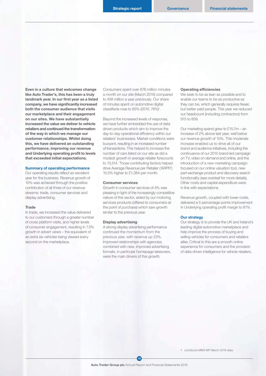Even in a culture that welcomes change like Auto Trader's, this has been a truly landmark year. In our first year as a listed company, we have significantly increased both the consumer audience that visits our marketplace and their engagement on our sites. We have substantially increased the value we deliver to vehicle retailers and continued the transformation of the way in which we manage our customer relationships. Whilst doing this, we have delivered an outstanding performance, improving our revenue and Underlying operating profit to levels that exceeded initial expectations.

# Summary of operating performance

Our operating results reflect an excellent year for the business. Revenue growth of 10% was achieved through the positive contribution of all three of our revenue streams: trade, consumer services and display advertising.

### **Trade**

In trade, we increased the value delivered to our customers through a greater number of cross platform visits, and higher levels of consumer engagement, resulting in 7.5% growth in advert views – the equivalent of an extra six vehicles being viewed every second on the marketplace.

Consumers spent over 676 million minutes a month on our site (March 2016) compared to 458 million a year previously. Our share of minutes spent on automotive digital classifieds rose to 85% (2015: 76%)1 .

Beyond the increased levels of response, we have further embedded the use of data driven products which aim to improve the day-to-day operational efficiency within our retailers' businesses. Market conditions were buoyant, resulting in an increased number of transactions. This helped to increase the number of cars listed on our site as did a modest growth in average retailer forecourts to 13,514. Those contributing factors helped drive Average Revenue per Retailer ('ARPR') 10.5% higher to £1,384 per month.

## Consumer services

Growth in consumer services of 4% was pleasing in light of the increasingly competitive nature of this sector, aided by our motoring services products (offered to consumers at the point of purchase) which saw growth similar to the previous year.

## Display advertising

A strong display advertising performance continued the momentum from the previous year, with revenue up 23%. Improved relationships with agencies, combined with new, improved advertising formats, in particular homepage takeovers, were the main drivers of this growth.

#### Operating efficiencies

We seek to be as lean as possible and to enable our teams to be as productive as they can be, which generally requires fewer, but better paid people. This year we reduced our headcount (including contractors) from 915 to 859.

Our marketing spend grew to £15.7m – an increase of 2% above last year, well below our revenue growth of 10%. This moderate increase enabled us to drive all of our brand and audience initiatives, including the continuance of our 2015 brand-led campaign on TV, video on demand and online, and the introduction of a new marketing campaign focused on our online valuation tool, new part-exchange product and discovery search functionality (see overleaf for more details). Other costs and capital expenditure were in line with expectations.

Revenue growth, coupled with lower costs, delivered a 5 percentage points improvement in Underlying operating profit margin to 61%.

# Our strategy

Our strategy is to provide the UK and Ireland's leading digital automotive marketplace and help improve the process of buying and selling vehicles for consumers and retailers alike. Critical to this are a smooth online experience for consumers and the provision of data driven intelligence for vehicle retailers.

1 comScore MMX MP March 2016 data.